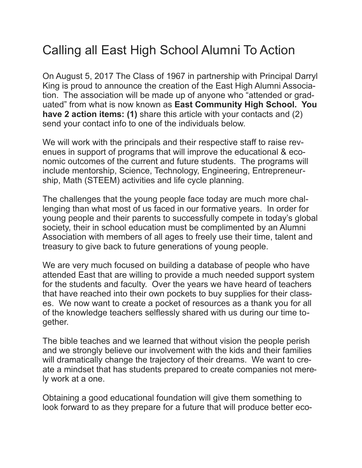## Calling all East High School Alumni To Action

On August 5, 2017 The Class of 1967 in partnership with Principal Darryl King is proud to announce the creation of the East High Alumni Association. The association will be made up of anyone who "attended or graduated" from what is now known as **East Community High School. You have 2 action items: (1)** share this article with your contacts and (2) send your contact info to one of the individuals below.

We will work with the principals and their respective staff to raise revenues in support of programs that will improve the educational & economic outcomes of the current and future students. The programs will include mentorship, Science, Technology, Engineering, Entrepreneurship, Math (STEEM) activities and life cycle planning.

The challenges that the young people face today are much more challenging than what most of us faced in our formative years. In order for young people and their parents to successfully compete in today's global society, their in school education must be complimented by an Alumni Association with members of all ages to freely use their time, talent and treasury to give back to future generations of young people.

We are very much focused on building a database of people who have attended East that are willing to provide a much needed support system for the students and faculty. Over the years we have heard of teachers that have reached into their own pockets to buy supplies for their classes. We now want to create a pocket of resources as a thank you for all of the knowledge teachers selflessly shared with us during our time together.

The bible teaches and we learned that without vision the people perish and we strongly believe our involvement with the kids and their families will dramatically change the trajectory of their dreams. We want to create a mindset that has students prepared to create companies not merely work at a one.

Obtaining a good educational foundation will give them something to look forward to as they prepare for a future that will produce better eco-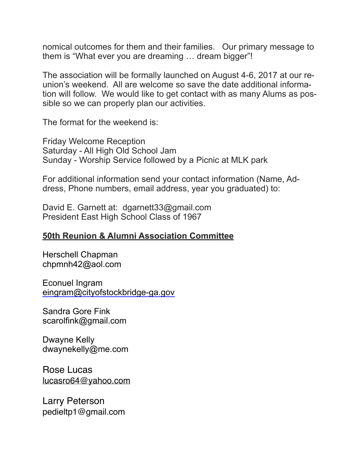nomical outcomes for them and their families. Our primary message to them is "What ever you are dreaming … dream bigger"!

The association will be formally launched on August 4-6, 2017 at our reunion's weekend. All are welcome so save the date additional information will follow. We would like to get contact with as many Alums as possible so we can properly plan our activities.

The format for the weekend is:

Friday Welcome Reception Saturday - All High Old School Jam Sunday - Worship Service followed by a Picnic at MLK park

For additional information send your contact information (Name, Address, Phone numbers, email address, year you graduated) to:

David E. Garnett at: dgarnett33@gmail.com President East High School Class of 1967

## **50th Reunion & Alumni Association Committee**

Herschell Chapman [chpmnh42@aol.com](mailto:chpmnh42@aol.com)

Econuel Ingram [eingram@cityofstockbridge-ga.gov](mailto:eingram@cityofstockbridge-ga.gov)

Sandra Gore Fink scarolfink@gmail.com

Dwayne Kelly dwaynekelly@me.com

Rose Lucas [lucasro64@yahoo.com](mailto:lucasro64@yahoo.com)

Larry Peterson pedieltp1@gmail.com